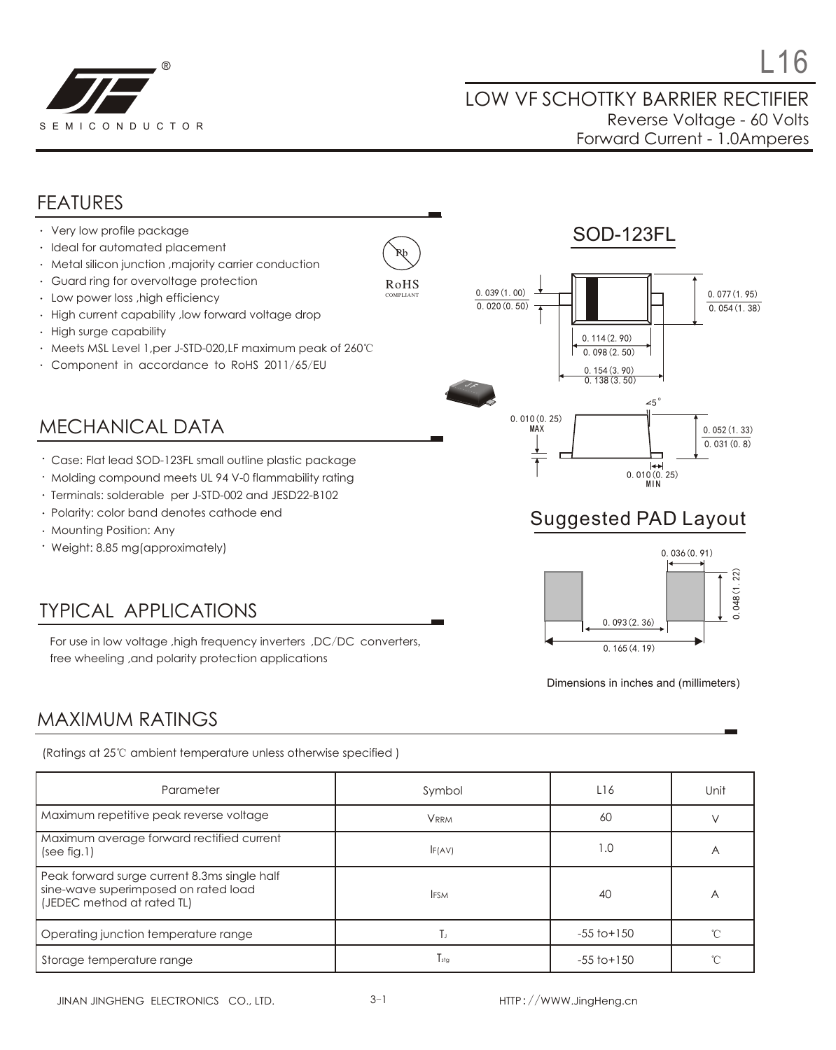

#### LOW VF SCHOTTKY BARRIER RECTIFIER Reverse Voltage - 60 Volts Forward Current - 1.0Amperes

#### FEATURES

- Very low profile package
- · Ideal for automated placement
- Metal silicon junction ,majority carrier conduction
- Guard ring for overvoltage protection
- $\cdot$  Low power loss ,high efficiency
- High current capability ,low forward voltage drop  $\ddot{\phantom{a}}$
- High surge capability
- Meets MSL Level 1,per J-STD-020,LF maximum peak of 260℃
- Component in accordance to RoHS 2011/65/EU



- Case: Flat lead SOD-123FL small outline plastic package
- Molding compound meets UL 94 V-0 flammability rating
- Terminals: solderable per J-STD-002 and JESD22-B102
- Polarity: color band denotes cathode end
- Mounting Position: Any
- 

## TYPICAL APPLICATIONS

For use in low voltage ,high frequency inverters ,DC/DC converters, free wheeling ,and polarity protection applications



## Suggested PAD Layout



Dimensions in inches and (millimeters)

#### MAXIMUM RATINGS

(Ratings at 25℃ ambient temperature unless otherwise specified )

| Parameter                                                                                                          | Symbol           | L16             | Unit           |
|--------------------------------------------------------------------------------------------------------------------|------------------|-----------------|----------------|
| Maximum repetitive peak reverse voltage                                                                            | <b>VRRM</b>      | 60              |                |
| Maximum average forward rectified current<br>(see fig.1)                                                           | F(AV)            | 1.0             | $\overline{ }$ |
| Peak forward surge current 8.3ms single half<br>sine-wave superimposed on rated load<br>(JEDEC method at rated TL) | <b>IFSM</b>      | 40              | A              |
| Operating junction temperature range                                                                               | Тı               | $-55$ to $+150$ |                |
| Storage temperature range                                                                                          | $T_{\text{stg}}$ | $-55$ to $+150$ |                |

Pb RoHS COMPLIANT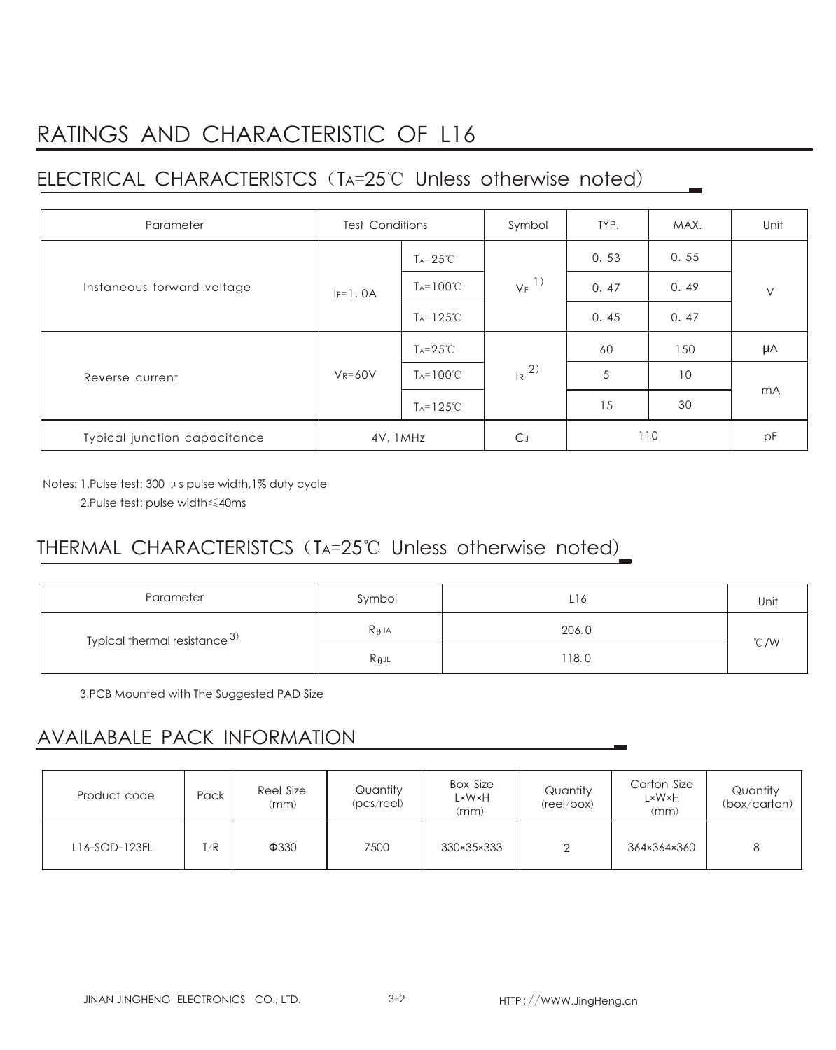# RATINGS AND CHARACTERISTIC OF L16

## ELECTRICAL CHARACTERISTCS (TA=25℃ Unless otherwise noted)

| Parameter                    | <b>Test Conditions</b> |                       | Symbol              | TYP. | MAX. | Unit   |
|------------------------------|------------------------|-----------------------|---------------------|------|------|--------|
| Instaneous forward voltage   |                        | $T_A = 25^{\circ}$ C  | $V_F$ <sup>1)</sup> | 0.53 | 0.55 | $\vee$ |
|                              | $IF=1.0A$              | $T_A = 100^{\circ}C$  |                     | 0.47 | 0.49 |        |
|                              |                        | $T_A = 125^{\circ}$ C |                     | 0.45 | 0.47 |        |
| Reverse current              | $V_R = 60V$            | $T_A = 25^{\circ}C$   | $R^{2)}$            | 60   | 150  | μA     |
|                              |                        | $T_A = 100^{\circ}C$  |                     | 5    | 10   | mA     |
|                              |                        | $T_A = 125^{\circ}C$  |                     | 15   | 30   |        |
| Typical junction capacitance | 4V, 1MHz               |                       | $C_{J}$             | 110  |      | pF     |

Notes: 1.Pulse test: 300 μs pulse width,1% duty cycle

2.Pulse test: pulse width≤40ms

## THERMAL CHARACTERISTCS (TA=25℃ Unless otherwise noted)

| Parameter                          | Symbol          | L16   | Unit |  |
|------------------------------------|-----------------|-------|------|--|
| Typical thermal resistance $^{3)}$ | $R_{\theta}$ JA | 206.0 | °C/W |  |
|                                    | $R_{\theta}$ JL | 118.0 |      |  |

3.PCB Mounted with The Suggested PAD Size

#### AVAILABALE PACK INFORMATION

| Product code  | Pack | Reel Size<br>(mm) | Quantity<br>(pcs/ree) | <b>Box Size</b><br>L×W×H<br>(mm) | Quantity<br>(reel/box) | Carton Size<br>L×W×H<br>(mm) | Quantity<br>(box/carton) |
|---------------|------|-------------------|-----------------------|----------------------------------|------------------------|------------------------------|--------------------------|
| L16-SOD-123FL | T/R  | $\Phi$ 330        | 7500                  | 330×35×333                       |                        | 364×364×360                  | 8                        |